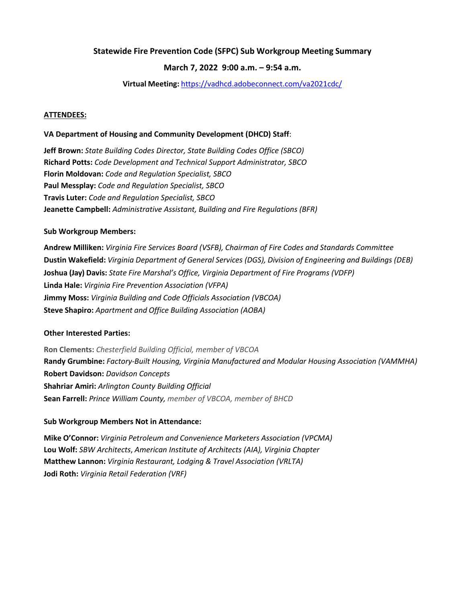#### **Statewide Fire Prevention Code (SFPC) Sub Workgroup Meeting Summary**

### **March 7, 2022 9:00 a.m. – 9:54 a.m.**

**Virtual Meeting:** <https://vadhcd.adobeconnect.com/va2021cdc/>

#### **ATTENDEES:**

#### **VA Department of Housing and Community Development (DHCD) Staff**:

**Jeff Brown:** *State Building Codes Director, State Building Codes Office (SBCO)* **Richard Potts:** *Code Development and Technical Support Administrator, SBCO* **Florin Moldovan:** *Code and Regulation Specialist, SBCO* **Paul Messplay:** *Code and Regulation Specialist, SBCO* **Travis Luter:** *Code and Regulation Specialist, SBCO* **Jeanette Campbell:** *Administrative Assistant, Building and Fire Regulations (BFR)*

#### **Sub Workgroup Members:**

**Andrew Milliken:** *Virginia Fire Services Board (VSFB), Chairman of Fire Codes and Standards Committee* **Dustin Wakefield:** *Virginia Department of General Services (DGS), Division of Engineering and Buildings (DEB)* **Joshua (Jay) Davis:** *State Fire Marshal's Office, Virginia Department of Fire Programs (VDFP)* **Linda Hale:** *Virginia Fire Prevention Association (VFPA)* **Jimmy Moss:** *Virginia Building and Code Officials Association (VBCOA)* **Steve Shapiro:** *Apartment and Office Building Association (AOBA)*

#### **Other Interested Parties:**

**Ron Clements:** *Chesterfield Building Official, member of VBCOA* **Randy Grumbine:** *Factory-Built Housing, Virginia Manufactured and Modular Housing Association (VAMMHA)* **Robert Davidson:** *Davidson Concepts* **Shahriar Amiri:** *Arlington County Building Official* **Sean Farrell:** *Prince William County, member of VBCOA, member of BHCD*

#### **Sub Workgroup Members Not in Attendance:**

**Mike O'Connor:** *Virginia Petroleum and Convenience Marketers Association (VPCMA)* **Lou Wolf:** *SBW Architects*, *American Institute of Architects (AIA), Virginia Chapter* **Matthew Lannon:** *Virginia Restaurant, Lodging & Travel Association (VRLTA)* **Jodi Roth:** *Virginia Retail Federation (VRF)*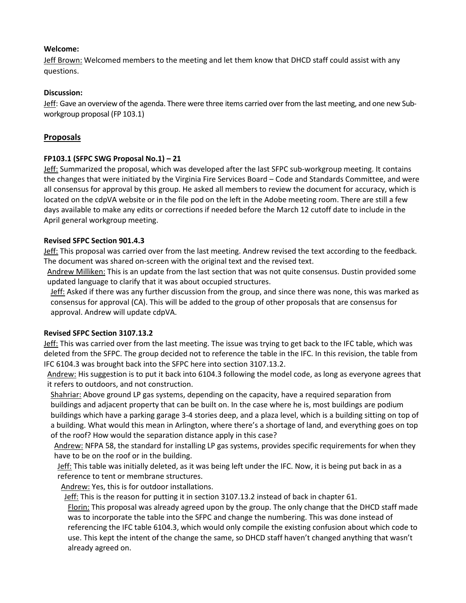## **Welcome:**

Jeff Brown: Welcomed members to the meeting and let them know that DHCD staff could assist with any questions.

## **Discussion:**

Jeff: Gave an overview of the agenda. There were three items carried over from the last meeting, and one new Subworkgroup proposal (FP 103.1)

## **Proposals**

## **FP103.1 (SFPC SWG Proposal No.1) – 21**

Jeff: Summarized the proposal, which was developed after the last SFPC sub-workgroup meeting. It contains the changes that were initiated by the Virginia Fire Services Board – Code and Standards Committee, and were all consensus for approval by this group. He asked all members to review the document for accuracy, which is located on the cdpVA website or in the file pod on the left in the Adobe meeting room. There are still a few days available to make any edits or corrections if needed before the March 12 cutoff date to include in the April general workgroup meeting.

## **Revised SFPC Section 901.4.3**

Jeff: This proposal was carried over from the last meeting. Andrew revised the text according to the feedback. The document was shared on-screen with the original text and the revised text.

Andrew Milliken: This is an update from the last section that was not quite consensus. Dustin provided some updated language to clarify that it was about occupied structures.

Jeff: Asked if there was any further discussion from the group, and since there was none, this was marked as consensus for approval (CA). This will be added to the group of other proposals that are consensus for approval. Andrew will update cdpVA.

### **Revised SFPC Section 3107.13.2**

Jeff: This was carried over from the last meeting. The issue was trying to get back to the IFC table, which was deleted from the SFPC. The group decided not to reference the table in the IFC. In this revision, the table from IFC 6104.3 was brought back into the SFPC here into section 3107.13.2.

Andrew: His suggestion is to put it back into 6104.3 following the model code, as long as everyone agrees that it refers to outdoors, and not construction.

Shahriar: Above ground LP gas systems, depending on the capacity, have a required separation from buildings and adjacent property that can be built on. In the case where he is, most buildings are podium buildings which have a parking garage 3-4 stories deep, and a plaza level, which is a building sitting on top of a building. What would this mean in Arlington, where there's a shortage of land, and everything goes on top of the roof? How would the separation distance apply in this case?

Andrew: NFPA 58, the standard for installing LP gas systems, provides specific requirements for when they have to be on the roof or in the building.

Jeff: This table was initially deleted, as it was being left under the IFC. Now, it is being put back in as a reference to tent or membrane structures.

Andrew: Yes, this is for outdoor installations.

Jeff: This is the reason for putting it in section 3107.13.2 instead of back in chapter 61.

Florin: This proposal was already agreed upon by the group. The only change that the DHCD staff made was to incorporate the table into the SFPC and change the numbering. This was done instead of referencing the IFC table 6104.3, which would only compile the existing confusion about which code to use. This kept the intent of the change the same, so DHCD staff haven't changed anything that wasn't already agreed on.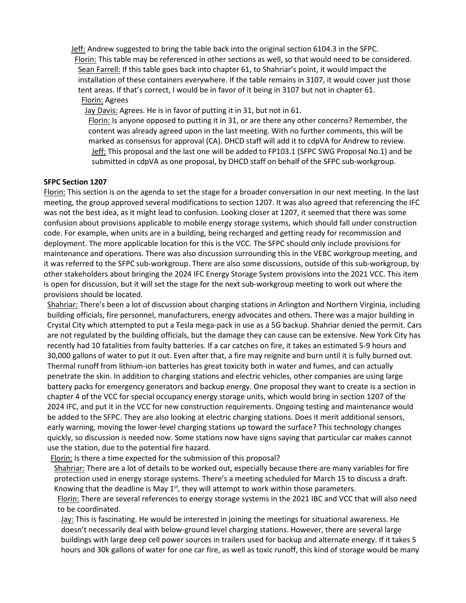Jeff: Andrew suggested to bring the table back into the original section 6104.3 in the SFPC.

Florin: This table may be referenced in other sections as well, so that would need to be considered. Sean Farrell: If this table goes back into chapter 61, to Shahriar's point, it would impact the installation of these containers everywhere. If the table remains in 3107, it would cover just those tent areas. If that's correct, I would be in favor of it being in 3107 but not in chapter 61. Florin: Agrees

Jay Davis: Agrees. He is in favor of putting it in 31, but not in 61.

Florin: Is anyone opposed to putting it in 31, or are there any other concerns? Remember, the content was already agreed upon in the last meeting. With no further comments, this will be marked as consensus for approval (CA). DHCD staff will add it to cdpVA for Andrew to review. Jeff: This proposal and the last one will be added to FP103.1 (SFPC SWG Proposal No.1) and be submitted in cdpVA as one proposal, by DHCD staff on behalf of the SFPC sub-workgroup.

## **SFPC Section 1207**

Florin: This section is on the agenda to set the stage for a broader conversation in our next meeting. In the last meeting, the group approved several modifications to section 1207. It was also agreed that referencing the IFC was not the best idea, as it might lead to confusion. Looking closer at 1207, it seemed that there was some confusion about provisions applicable to mobile energy storage systems, which should fall under construction code. For example, when units are in a building, being recharged and getting ready for recommission and deployment. The more applicable location for this is the VCC. The SFPC should only include provisions for maintenance and operations. There was also discussion surrounding this in the VEBC workgroup meeting, and it was referred to the SFPC sub-workgroup. There are also some discussions, outside of this sub-workgroup, by other stakeholders about bringing the 2024 IFC Energy Storage System provisions into the 2021 VCC. This item is open for discussion, but it will set the stage for the next sub-workgroup meeting to work out where the provisions should be located.

Shahriar: There's been a lot of discussion about charging stations in Arlington and Northern Virginia, including building officials, fire personnel, manufacturers, energy advocates and others. There was a major building in Crystal City which attempted to put a Tesla mega-pack in use as a 5G backup. Shahriar denied the permit. Cars are not regulated by the building officials, but the damage they can cause can be extensive. New York City has recently had 10 fatalities from faulty batteries. If a car catches on fire, it takes an estimated 5-9 hours and 30,000 gallons of water to put it out. Even after that, a fire may reignite and burn until it is fully burned out. Thermal runoff from lithium-ion batteries has great toxicity both in water and fumes, and can actually penetrate the skin. In addition to charging stations and electric vehicles, other companies are using large battery packs for emergency generators and backup energy. One proposal they want to create is a section in chapter 4 of the VCC for special occupancy energy storage units, which would bring in section 1207 of the 2024 IFC, and put it in the VCC for new construction requirements. Ongoing testing and maintenance would be added to the SFPC. They are also looking at electric charging stations. Does it merit additional sensors, early warning, moving the lower-level charging stations up toward the surface? This technology changes quickly, so discussion is needed now. Some stations now have signs saying that particular car makes cannot use the station, due to the potential fire hazard.

Florin: Is there a time expected for the submission of this proposal?

Shahriar: There are a lot of details to be worked out, especially because there are many variables for fire protection used in energy storage systems. There's a meeting scheduled for March 15 to discuss a draft. Knowing that the deadline is May  $1<sup>st</sup>$ , they will attempt to work within those parameters.

Florin: There are several references to energy storage systems in the 2021 IBC and VCC that will also need to be coordinated.

Jay: This is fascinating. He would be interested in joining the meetings for situational awareness. He doesn't necessarily deal with below-ground level charging stations. However, there are several large buildings with large deep cell power sources in trailers used for backup and alternate energy. If it takes 5 hours and 30k gallons of water for one car fire, as well as toxic runoff, this kind of storage would be many